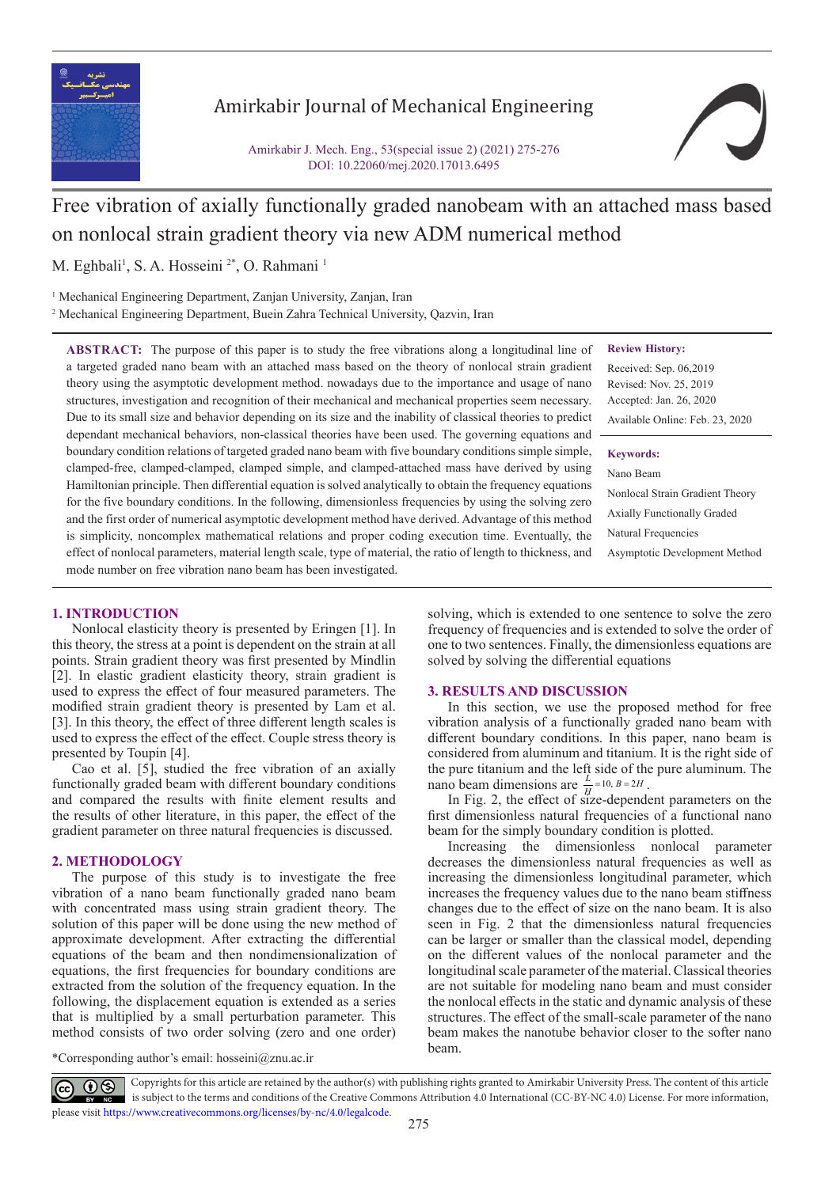

# Amirkabir Journal of Mechanical Engineering

Amirkabir J. Mech. Eng., 53(special issue 2) (2021) 275-276 DOI: 10.22060/mej.2020.17013.6495



# Free vibration of axially functionally graded nanobeam with an attached mass based on nonlocal strain gradient theory via new ADM numerical method

M. Eghbali<sup>1</sup>, S. A. Hosseini <sup>2\*</sup>, O. Rahmani <sup>1</sup>

<sup>1</sup> Mechanical Engineering Department, Zanjan University, Zanjan, Iran 2 Mechanical Engineering Department, Buein Zahra Technical University, Qazvin, Iran

**Review History:**

Received: Sep. 06,2019 Revised: Nov. 25, 2019 Accepted: Jan. 26, 2020 Available Online: Feb. 23, 2020

#### **Keywords:**

Nano Beam Nonlocal Strain Gradient Theory Axially Functionally Graded Natural Frequencies Asymptotic Development Method

a targeted graded nano beam with an attached mass based on the theory of nonlocal strain gradient theory using the asymptotic development method. nowadays due to the importance and usage of nano structures, investigation and recognition of their mechanical and mechanical properties seem necessary. Due to its small size and behavior depending on its size and the inability of classical theories to predict dependant mechanical behaviors, non-classical theories have been used. The governing equations and boundary condition relations of targeted graded nano beam with five boundary conditions simple simple, clamped-free, clamped-clamped, clamped simple, and clamped-attached mass have derived by using Hamiltonian principle. Then differential equation is solved analytically to obtain the frequency equations for the five boundary conditions. In the following, dimensionless frequencies by using the solving zero and the first order of numerical asymptotic development method have derived. Advantage of this method is simplicity, noncomplex mathematical relations and proper coding execution time. Eventually, the effect of nonlocal parameters, material length scale, type of material, the ratio of length to thickness, and mode number on free vibration nano beam has been investigated.

**ABSTRACT:** The purpose of this paper is to study the free vibrations along a longitudinal line of

# **1. INTRODUCTION**

Nonlocal elasticity theory is presented by Eringen [1]. In this theory, the stress at a point is dependent on the strain at all points. Strain gradient theory was first presented by Mindlin [2]. In elastic gradient elasticity theory, strain gradient is used to express the effect of four measured parameters. The modified strain gradient theory is presented by Lam et al. [3]. In this theory, the effect of three different length scales is used to express the effect of the effect. Couple stress theory is presented by Toupin [4].

Cao et al. [5], studied the free vibration of an axially functionally graded beam with different boundary conditions and compared the results with finite element results and the results of other literature, in this paper, the effect of the gradient parameter on three natural frequencies is discussed.

# **2. METHODOLOGY**

The purpose of this study is to investigate the free vibration of a nano beam functionally graded nano beam with concentrated mass using strain gradient theory. The solution of this paper will be done using the new method of approximate development. After extracting the differential equations of the beam and then nondimensionalization of equations, the first frequencies for boundary conditions are extracted from the solution of the frequency equation. In the following, the displacement equation is extended as a series that is multiplied by a small perturbation parameter. This method consists of two order solving (zero and one order)

solving, which is extended to one sentence to solve the zero frequency of frequencies and is extended to solve the order of one to two sentences. Finally, the dimensionless equations are solved by solving the differential equations

# **3. RESULTS AND DISCUSSION**

In this section, we use the proposed method for free vibration analysis of a functionally graded nano beam with different boundary conditions. In this paper, nano beam is considered from aluminum and titanium. It is the right side of the pure titanium and the left side of the pure aluminum. The nano beam dimensions are  $\frac{L}{H}$  = 10,  $B = 2H$ .<br>In Fig. 2, the effect of size-dependent parameters on the

first dimensionless natural frequencies of a functional nano beam for the simply boundary condition is plotted.

Increasing the dimensionless nonlocal parameter decreases the dimensionless natural frequencies as well as increasing the dimensionless longitudinal parameter, which increases the frequency values due to the nano beam stiffness changes due to the effect of size on the nano beam. It is also seen in Fig. 2 that the dimensionless natural frequencies can be larger or smaller than the classical model, depending on the different values of the nonlocal parameter and the longitudinal scale parameter of the material. Classical theories are not suitable for modeling nano beam and must consider the nonlocal effects in the static and dynamic analysis of these structures. The effect of the small-scale parameter of the nano beam makes the nanotube behavior closer to the softer nano beam.

\*Corresponding author's email: hosseini@znu.ac.ir